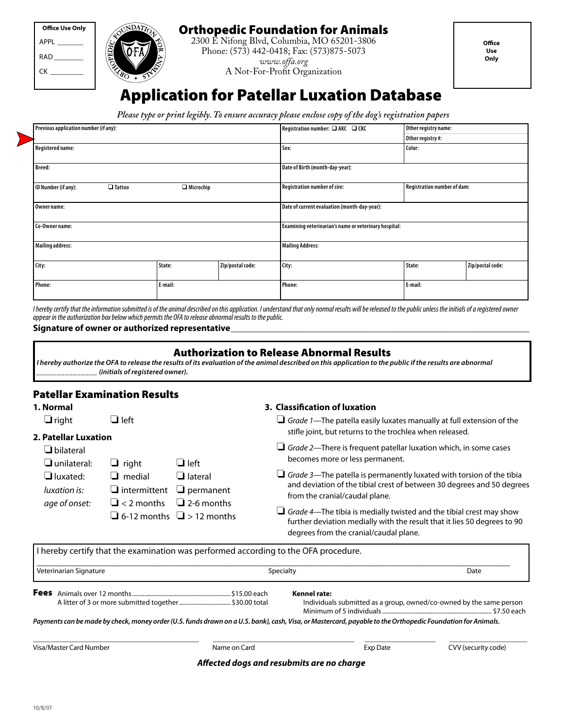| Office Use Only |
|-----------------|
| APPI            |
| RAD             |
| СΚ              |
|                 |



## Orthopedic Foundation for Animals

2300 E Nifong Blvd, Columbia, MO 65201-3806 Phone: (573) 442-0418; Fax: (573)875-5073 *www.offa.org* A Not-For-Profit Organization

**Office Use Only**

# Application for Patellar Luxation Database

*Please type or print legibly. To ensure accuracy please enclose copy of the dog's registration papers*

| Previous application number (if any):                    |         |                                     | Registration number: $\square$ AKC $\square$ CKC      | Other registry name: |                  |  |
|----------------------------------------------------------|---------|-------------------------------------|-------------------------------------------------------|----------------------|------------------|--|
|                                                          |         |                                     |                                                       | Other registry#:     |                  |  |
| <b>Registered name:</b>                                  |         |                                     | Sex:                                                  | Color:               |                  |  |
| <b>Breed:</b>                                            |         |                                     | Date of Birth (month-day-year):                       |                      |                  |  |
| ID Number (if any):<br>$\Box$ Microchip<br>$\Box$ Tattoo |         | <b>Registration number of sire:</b> | Registration number of dam:                           |                      |                  |  |
| Owner name:                                              |         |                                     | Date of current evaluation (month-day-year):          |                      |                  |  |
| Co-Owner name:                                           |         |                                     | Examining veterinarian's name or veterinary hospital: |                      |                  |  |
| <b>Mailing address:</b>                                  |         |                                     | <b>Mailing Address:</b>                               |                      |                  |  |
| City:                                                    | State:  | Zip/postal code:                    | City:                                                 | State:               | Zip/postal code: |  |
| Phone:                                                   | E-mail: |                                     | Phone:                                                | E-mail:              |                  |  |

*I hereby certify that the information submitted is of the animal described on this application. I understand that only normal results will be released to the public unless the initials of a registered owner appear in the authorization box below which permits the OFA to release abnormal results to the public.*

#### Signature of owner or authorized representative

#### Authorization to Release Abnormal Results

*I hereby authorize the OFA to release the results of its evaluation of the animal described on this application to the public if the results are abnormal \_\_\_\_\_\_\_\_\_\_\_\_\_\_\_ (initials of registered owner).*

## Patellar Examination Results

**1. Normal**

 $\Box$  right **2. Patellar** 

### **3. Classification of luxation**

| $\Box$ right                                 | $\mathsf{\mathsf{J}}$ left           |                                       | Grade 1—The patella easily luxates manually at full extension of the                                                     |  |
|----------------------------------------------|--------------------------------------|---------------------------------------|--------------------------------------------------------------------------------------------------------------------------|--|
| <b>Patellar Luxation</b><br>$\Box$ bilateral |                                      |                                       | stifle joint, but returns to the trochlea when released.                                                                 |  |
|                                              |                                      |                                       | $\Box$ Grade 2—There is frequent patellar luxation which, in some cases                                                  |  |
| $\Box$ unilateral:                           | $\Box$ right                         | $\Box$ left                           | becomes more or less permanent.                                                                                          |  |
| $\Box$ luxated:                              | $\Box$ medial                        | $\Box$ lateral                        | Grade 3—The patella is permanently luxated with torsion of the tibia                                                     |  |
| luxation is:                                 | $\Box$ intermittent $\Box$ permanent |                                       | and deviation of the tibial crest of between 30 degrees and 50 degrees                                                   |  |
| age of onset:                                | $\Box$ < 2 months                    | $\Box$ 2-6 months                     | from the cranial/caudal plane.                                                                                           |  |
|                                              |                                      | $\Box$ 6-12 months $\Box$ > 12 months | $\Box$ Grade 4—The tibia is medially twisted and the tibial crest may show<br>r al lege dell'est al la service del conso |  |

❏ *Grade 4*—The tibia is medially twisted and the tibial crest may show further deviation medially with the result that it lies 50 degrees to 90 degrees from the cranial/caudal plane.

I hereby certify that the examination was performed according to the OFA procedure.

| Veterinarian Signature                                                                                                                                     |              | Specialty                                                                                  | Date                |
|------------------------------------------------------------------------------------------------------------------------------------------------------------|--------------|--------------------------------------------------------------------------------------------|---------------------|
| <b>Fees</b>                                                                                                                                                |              | <b>Kennel rate:</b><br>Individuals submitted as a group, owned/co-owned by the same person |                     |
| Payments can be made by check, money order (U.S. funds drawn on a U.S. bank), cash, Visa, or Mastercard, payable to the Orthopedic Foundation for Animals. |              |                                                                                            |                     |
| Visa/Master Card Number                                                                                                                                    | Name on Card | Exp Date                                                                                   | CVV (security code) |

*Affected dogs and resubmits are no charge*